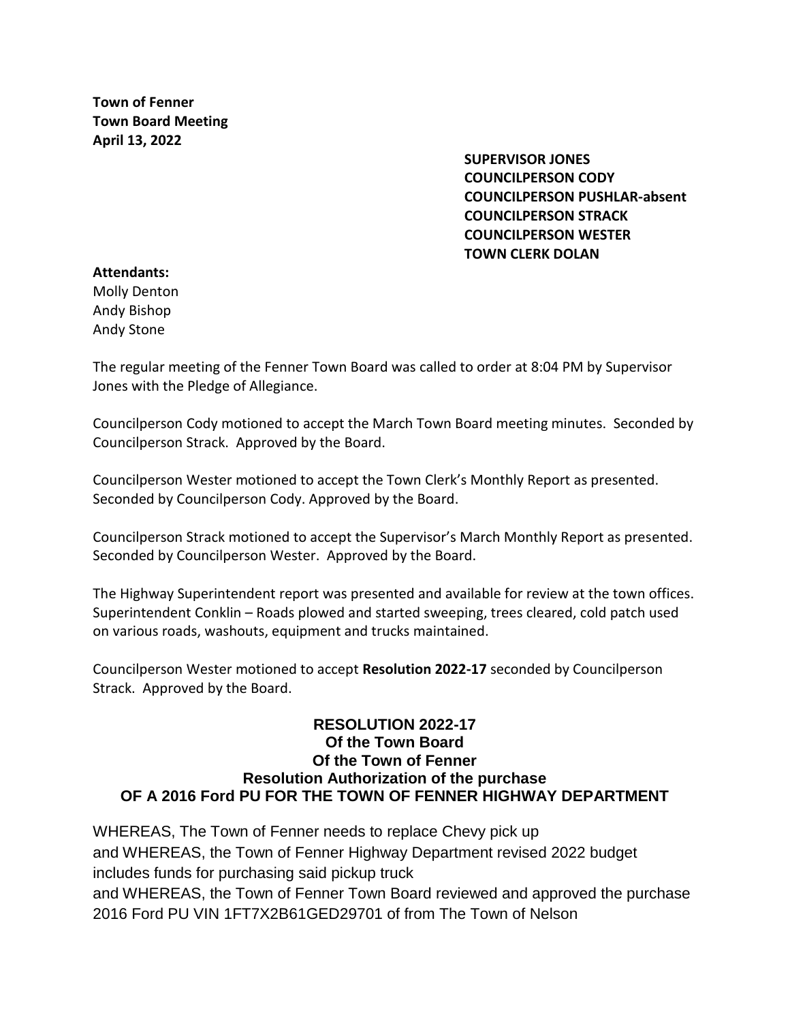**Town of Fenner Town Board Meeting April 13, 2022**

> **SUPERVISOR JONES COUNCILPERSON CODY COUNCILPERSON PUSHLAR-absent COUNCILPERSON STRACK COUNCILPERSON WESTER TOWN CLERK DOLAN**

## **Attendants:**

Molly Denton Andy Bishop Andy Stone

The regular meeting of the Fenner Town Board was called to order at 8:04 PM by Supervisor Jones with the Pledge of Allegiance.

Councilperson Cody motioned to accept the March Town Board meeting minutes. Seconded by Councilperson Strack. Approved by the Board.

Councilperson Wester motioned to accept the Town Clerk's Monthly Report as presented. Seconded by Councilperson Cody. Approved by the Board.

Councilperson Strack motioned to accept the Supervisor's March Monthly Report as presented. Seconded by Councilperson Wester. Approved by the Board.

The Highway Superintendent report was presented and available for review at the town offices. Superintendent Conklin – Roads plowed and started sweeping, trees cleared, cold patch used on various roads, washouts, equipment and trucks maintained.

Councilperson Wester motioned to accept **Resolution 2022-17** seconded by Councilperson Strack. Approved by the Board.

# **RESOLUTION 2022-17 Of the Town Board Of the Town of Fenner Resolution Authorization of the purchase OF A 2016 Ford PU FOR THE TOWN OF FENNER HIGHWAY DEPARTMENT**

WHEREAS, The Town of Fenner needs to replace Chevy pick up and WHEREAS, the Town of Fenner Highway Department revised 2022 budget includes funds for purchasing said pickup truck and WHEREAS, the Town of Fenner Town Board reviewed and approved the purchase 2016 Ford PU VIN 1FT7X2B61GED29701 of from The Town of Nelson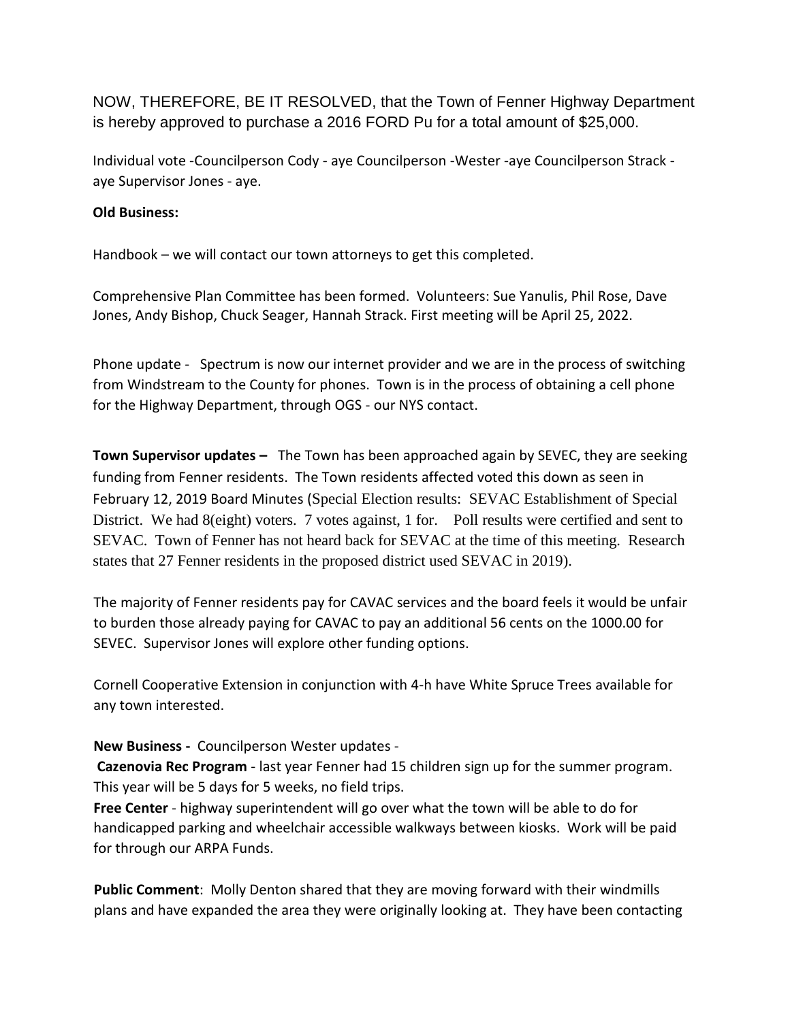NOW, THEREFORE, BE IT RESOLVED, that the Town of Fenner Highway Department is hereby approved to purchase a 2016 FORD Pu for a total amount of \$25,000.

Individual vote -Councilperson Cody - aye Councilperson -Wester -aye Councilperson Strack aye Supervisor Jones - aye.

## **Old Business:**

Handbook – we will contact our town attorneys to get this completed.

Comprehensive Plan Committee has been formed. Volunteers: Sue Yanulis, Phil Rose, Dave Jones, Andy Bishop, Chuck Seager, Hannah Strack. First meeting will be April 25, 2022.

Phone update - Spectrum is now our internet provider and we are in the process of switching from Windstream to the County for phones. Town is in the process of obtaining a cell phone for the Highway Department, through OGS - our NYS contact.

**Town Supervisor updates –** The Town has been approached again by SEVEC, they are seeking funding from Fenner residents. The Town residents affected voted this down as seen in February 12, 2019 Board Minutes (Special Election results: SEVAC Establishment of Special District. We had 8(eight) voters. 7 votes against, 1 for. Poll results were certified and sent to SEVAC. Town of Fenner has not heard back for SEVAC at the time of this meeting. Research states that 27 Fenner residents in the proposed district used SEVAC in 2019).

The majority of Fenner residents pay for CAVAC services and the board feels it would be unfair to burden those already paying for CAVAC to pay an additional 56 cents on the 1000.00 for SEVEC. Supervisor Jones will explore other funding options.

Cornell Cooperative Extension in conjunction with 4-h have White Spruce Trees available for any town interested.

## **New Business -** Councilperson Wester updates -

**Cazenovia Rec Program** - last year Fenner had 15 children sign up for the summer program. This year will be 5 days for 5 weeks, no field trips.

**Free Center** - highway superintendent will go over what the town will be able to do for handicapped parking and wheelchair accessible walkways between kiosks. Work will be paid for through our ARPA Funds.

**Public Comment**: Molly Denton shared that they are moving forward with their windmills plans and have expanded the area they were originally looking at. They have been contacting